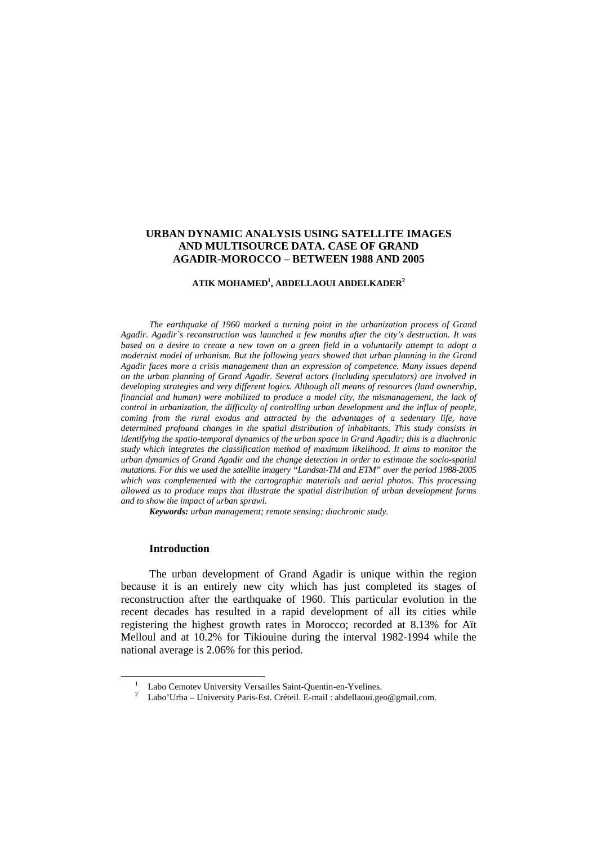# **URBAN DYNAMIC ANALYSIS USING SATELLITE IMAGES AND MULTISOURCE DATA. CASE OF GRAND AGADIR-MOROCCO – BETWEEN 1988 AND 2005**

#### **ATIK MOHAMED<sup>1</sup> , ABDELLAOUI ABDELKADER<sup>2</sup>**

*The earthquake of 1960 marked a turning point in the urbanization process of Grand Agadir. Agadir`s reconstruction was launched a few months after the city's destruction. It was based on a desire to create a new town on a green field in a voluntarily attempt to adopt a modernist model of urbanism. But the following years showed that urban planning in the Grand Agadir faces more a crisis management than an expression of competence. Many issues depend on the urban planning of Grand Agadir. Several actors (including speculators) are involved in developing strategies and very different logics. Although all means of resources (land ownership, financial and human) were mobilized to produce a model city, the mismanagement, the lack of control in urbanization, the difficulty of controlling urban development and the influx of people, coming from the rural exodus and attracted by the advantages of a sedentary life, have determined profound changes in the spatial distribution of inhabitants. This study consists in identifying the spatio-temporal dynamics of the urban space in Grand Agadir; this is a diachronic study which integrates the classification method of maximum likelihood. It aims to monitor the urban dynamics of Grand Agadir and the change detection in order to estimate the socio-spatial mutations. For this we used the satellite imagery "Landsat-TM and ETM" over the period 1988-2005 which was complemented with the cartographic materials and aerial photos. This processing allowed us to produce maps that illustrate the spatial distribution of urban development forms and to show the impact of urban sprawl.* 

*Keywords: urban management; remote sensing; diachronic study.* 

#### **Introduction**

 $\overline{a}$ 

The urban development of Grand Agadir is unique within the region because it is an entirely new city which has just completed its stages of reconstruction after the earthquake of 1960. This particular evolution in the recent decades has resulted in a rapid development of all its cities while registering the highest growth rates in Morocco; recorded at 8.13% for Aït Melloul and at 10.2% for Tikiouine during the interval 1982-1994 while the national average is 2.06% for this period.

<sup>&</sup>lt;sup>1</sup> Labo Cemotev University Versailles Saint-Quentin-en-Yvelines.

<sup>&</sup>lt;sup>2</sup> Labo'Urba – University Paris-Est. Créteil. E-mail : abdellaoui.geo@gmail.com.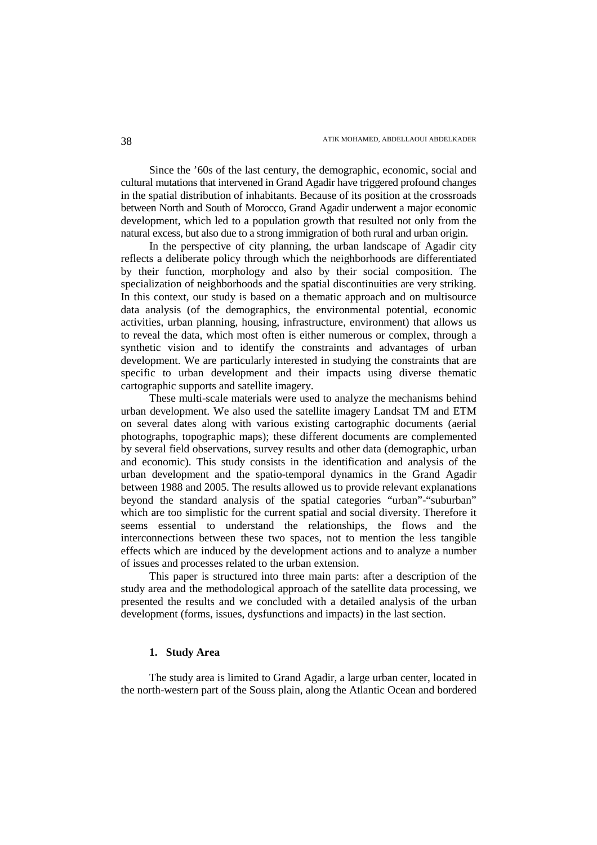Since the '60s of the last century, the demographic, economic, social and cultural mutations that intervened in Grand Agadir have triggered profound changes in the spatial distribution of inhabitants. Because of its position at the crossroads between North and South of Morocco, Grand Agadir underwent a major economic development, which led to a population growth that resulted not only from the natural excess, but also due to a strong immigration of both rural and urban origin.

In the perspective of city planning, the urban landscape of Agadir city reflects a deliberate policy through which the neighborhoods are differentiated by their function, morphology and also by their social composition. The specialization of neighborhoods and the spatial discontinuities are very striking. In this context, our study is based on a thematic approach and on multisource data analysis (of the demographics, the environmental potential, economic activities, urban planning, housing, infrastructure, environment) that allows us to reveal the data, which most often is either numerous or complex, through a synthetic vision and to identify the constraints and advantages of urban development. We are particularly interested in studying the constraints that are specific to urban development and their impacts using diverse thematic cartographic supports and satellite imagery.

These multi-scale materials were used to analyze the mechanisms behind urban development. We also used the satellite imagery Landsat TM and ETM on several dates along with various existing cartographic documents (aerial photographs, topographic maps); these different documents are complemented by several field observations, survey results and other data (demographic, urban and economic). This study consists in the identification and analysis of the urban development and the spatio-temporal dynamics in the Grand Agadir between 1988 and 2005. The results allowed us to provide relevant explanations beyond the standard analysis of the spatial categories "urban"-"suburban" which are too simplistic for the current spatial and social diversity. Therefore it seems essential to understand the relationships, the flows and the interconnections between these two spaces, not to mention the less tangible effects which are induced by the development actions and to analyze a number of issues and processes related to the urban extension.

This paper is structured into three main parts: after a description of the study area and the methodological approach of the satellite data processing, we presented the results and we concluded with a detailed analysis of the urban development (forms, issues, dysfunctions and impacts) in the last section.

## **1. Study Area**

The study area is limited to Grand Agadir, a large urban center, located in the north-western part of the Souss plain, along the Atlantic Ocean and bordered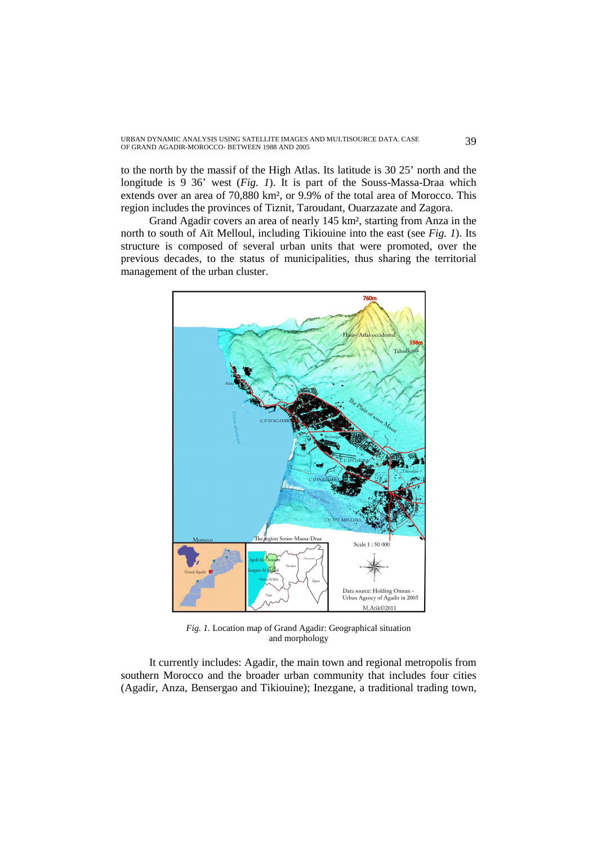# URBAN DYNAMIC ANALYSIS USING SATELLITE IMAGES AND MULTISOURCE DATA. CASE 39<br>OF GRAND AGADIR-MOROCCO- BETWEEN 1988 AND 2005

to the north by the massif of the High Atlas. Its latitude is 30 25' north and the longitude is 9 36' west (*Fig. 1*). It is part of the Souss-Massa-Draa which extends over an area of 70,880 km², or 9.9% of the total area of Morocco. This region includes the provinces of Tiznit, Taroudant, Ouarzazate and Zagora.

Grand Agadir covers an area of nearly 145 km², starting from Anza in the north to south of Aït Melloul, including Tikiouine into the east (see *Fig. 1*). Its structure is composed of several urban units that were promoted, over the previous decades, to the status of municipalities, thus sharing the territorial management of the urban cluster.



*Fig. 1.* Location map of Grand Agadir: Geographical situation and morphology

It currently includes: Agadir, the main town and regional metropolis from southern Morocco and the broader urban community that includes four cities (Agadir, Anza, Bensergao and Tikiouine); Inezgane, a traditional trading town,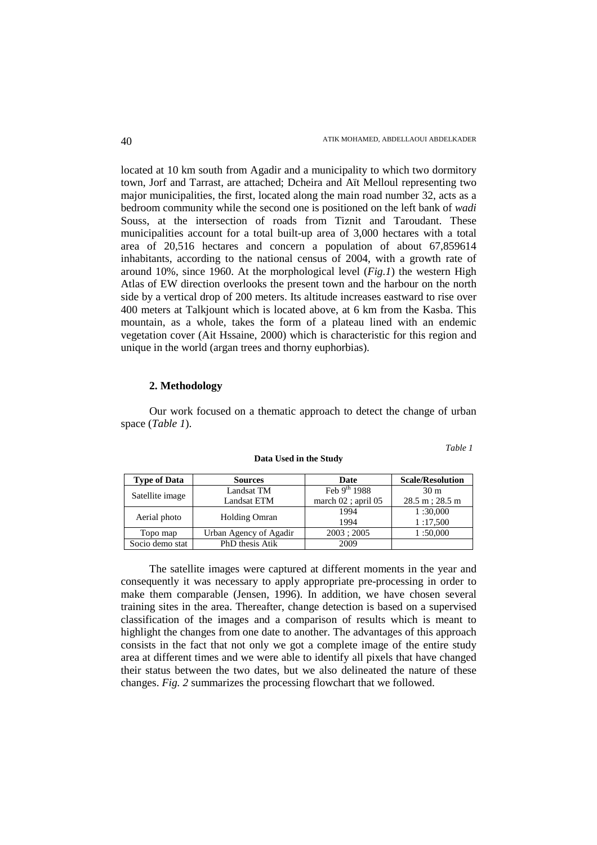located at 10 km south from Agadir and a municipality to which two dormitory town, Jorf and Tarrast, are attached; Dcheira and Aït Melloul representing two major municipalities, the first, located along the main road number 32, acts as a bedroom community while the second one is positioned on the left bank of *wadi* Souss, at the intersection of roads from Tiznit and Taroudant. These municipalities account for a total built-up area of 3,000 hectares with a total area of 20,516 hectares and concern a population of about 67,859614 inhabitants, according to the national census of 2004, with a growth rate of around 10%, since 1960. At the morphological level (*Fig.1*) the western High Atlas of EW direction overlooks the present town and the harbour on the north side by a vertical drop of 200 meters. Its altitude increases eastward to rise over 400 meters at Talkjount which is located above, at 6 km from the Kasba. This mountain, as a whole, takes the form of a plateau lined with an endemic vegetation cover (Ait Hssaine, 2000) which is characteristic for this region and unique in the world (argan trees and thorny euphorbias).

#### **2. Methodology**

Our work focused on a thematic approach to detect the change of urban space (*Table 1*).

*Table 1* 

| <b>Type of Data</b> | <b>Sources</b>         | Date                    | <b>Scale/Resolution</b>   |
|---------------------|------------------------|-------------------------|---------------------------|
| Satellite image     | Landsat TM             | Feb $9^{th}$ 1988       | 30 <sub>m</sub>           |
|                     | <b>Landsat ETM</b>     | march $02$ ; april $05$ | $28.5 \text{ m}$ ; 28.5 m |
| Aerial photo        | <b>Holding Omran</b>   | 1994                    | 1:30,000                  |
|                     |                        | 1994                    | 1:17,500                  |
| Topo map            | Urban Agency of Agadir | 2003; 2005              | 1:50,000                  |
| Socio demo stat     | PhD thesis Atik        | 2009                    |                           |

#### **Data Used in the Study**

The satellite images were captured at different moments in the year and consequently it was necessary to apply appropriate pre-processing in order to make them comparable (Jensen, 1996). In addition, we have chosen several training sites in the area. Thereafter, change detection is based on a supervised classification of the images and a comparison of results which is meant to highlight the changes from one date to another. The advantages of this approach consists in the fact that not only we got a complete image of the entire study area at different times and we were able to identify all pixels that have changed their status between the two dates, but we also delineated the nature of these changes. *Fig. 2* summarizes the processing flowchart that we followed.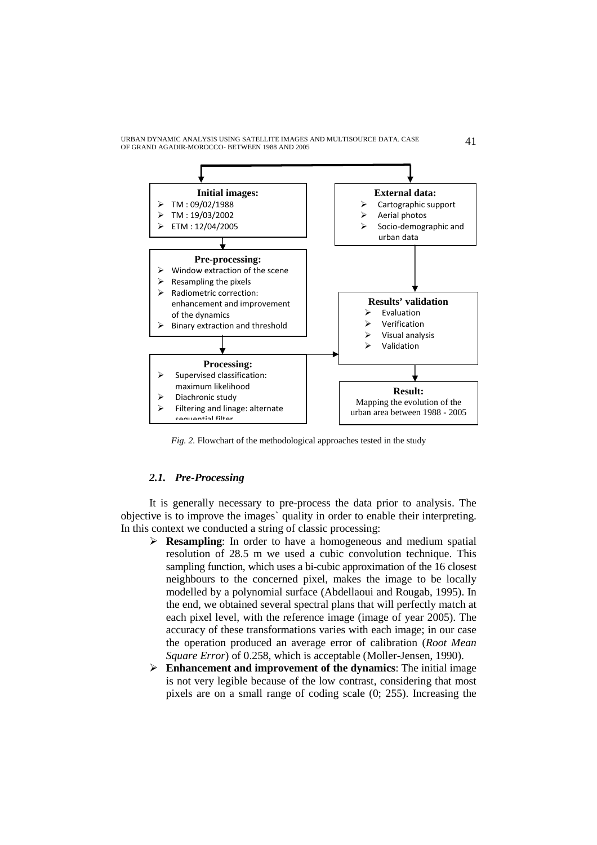URBAN DYNAMIC ANALYSIS USING SATELLITE IMAGES AND MULTISOURCE DATA. CASE  $\hspace{1.5cm}41$ 



*Fig. 2.* Flowchart of the methodological approaches tested in the study

## *2.1. Pre-Processing*

It is generally necessary to pre-process the data prior to analysis. The objective is to improve the images` quality in order to enable their interpreting. In this context we conducted a string of classic processing:

- **Resampling**: In order to have a homogeneous and medium spatial resolution of 28.5 m we used a cubic convolution technique. This sampling function, which uses a bi-cubic approximation of the 16 closest neighbours to the concerned pixel, makes the image to be locally modelled by a polynomial surface (Abdellaoui and Rougab, 1995). In the end, we obtained several spectral plans that will perfectly match at each pixel level, with the reference image (image of year 2005). The accuracy of these transformations varies with each image; in our case the operation produced an average error of calibration (*Root Mean Square Error*) of 0.258, which is acceptable (Moller-Jensen, 1990).
- **Enhancement and improvement of the dynamics**: The initial image is not very legible because of the low contrast, considering that most pixels are on a small range of coding scale (0; 255). Increasing the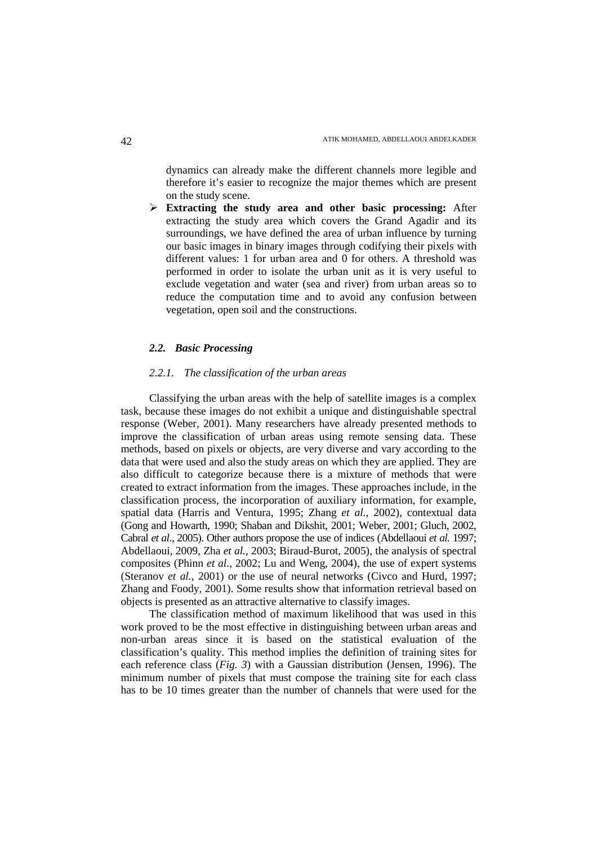dynamics can already make the different channels more legible and therefore it's easier to recognize the major themes which are present on the study scene.

- **Extracting the study area and other basic processing:** After extracting the study area which covers the Grand Agadir and its surroundings, we have defined the area of urban influence by turning our basic images in binary images through codifying their pixels with different values: 1 for urban area and 0 for others. A threshold was performed in order to isolate the urban unit as it is very useful to exclude vegetation and water (sea and river) from urban areas so to reduce the computation time and to avoid any confusion between vegetation, open soil and the constructions.

### *2.2. Basic Processing*

### *2.2.1. The classification of the urban areas*

Classifying the urban areas with the help of satellite images is a complex task, because these images do not exhibit a unique and distinguishable spectral response (Weber, 2001). Many researchers have already presented methods to improve the classification of urban areas using remote sensing data. These methods, based on pixels or objects, are very diverse and vary according to the data that were used and also the study areas on which they are applied. They are also difficult to categorize because there is a mixture of methods that were created to extract information from the images. These approaches include, in the classification process, the incorporation of auxiliary information, for example, spatial data (Harris and Ventura, 1995; Zhang *et al.*, 2002), contextual data (Gong and Howarth, 1990; Shaban and Dikshit, 2001; Weber, 2001; Gluch, 2002, Cabral *et al.*, 2005). Other authors propose the use of indices (Abdellaoui *et al.* 1997; Abdellaoui, 2009, Zha *et al.*, 2003; Biraud-Burot, 2005), the analysis of spectral composites (Phinn *et al.*, 2002; Lu and Weng, 2004), the use of expert systems (Steranov *et al.*, 2001) or the use of neural networks (Civco and Hurd, 1997; Zhang and Foody, 2001). Some results show that information retrieval based on objects is presented as an attractive alternative to classify images.

The classification method of maximum likelihood that was used in this work proved to be the most effective in distinguishing between urban areas and non-urban areas since it is based on the statistical evaluation of the classification's quality. This method implies the definition of training sites for each reference class (*Fig. 3*) with a Gaussian distribution (Jensen, 1996). The minimum number of pixels that must compose the training site for each class has to be 10 times greater than the number of channels that were used for the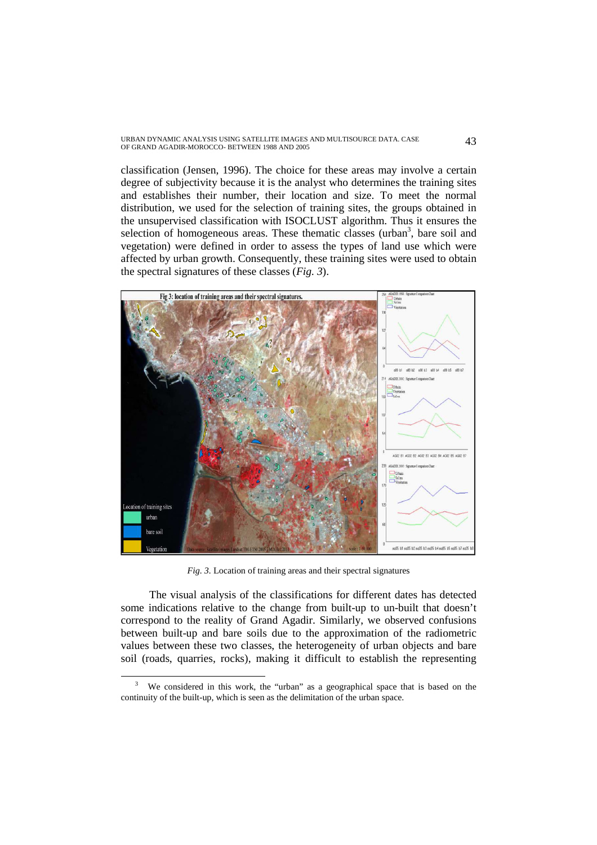URBAN DYNAMIC ANALYSIS USING SATELLITE IMAGES AND MULTISOURCE DATA. CASE 43<br>OF GRAND AGADIR-MOROCCO- BETWEEN 1988 AND 2005

classification (Jensen, 1996). The choice for these areas may involve a certain degree of subjectivity because it is the analyst who determines the training sites and establishes their number, their location and size. To meet the normal distribution, we used for the selection of training sites, the groups obtained in the unsupervised classification with ISOCLUST algorithm. Thus it ensures the selection of homogeneous areas. These thematic classes (urban<sup>3</sup>, bare soil and vegetation) were defined in order to assess the types of land use which were affected by urban growth. Consequently, these training sites were used to obtain the spectral signatures of these classes (*Fig. 3*).



*Fig. 3.* Location of training areas and their spectral signatures

The visual analysis of the classifications for different dates has detected some indications relative to the change from built-up to un-built that doesn't correspond to the reality of Grand Agadir. Similarly, we observed confusions between built-up and bare soils due to the approximation of the radiometric values between these two classes, the heterogeneity of urban objects and bare soil (roads, quarries, rocks), making it difficult to establish the representing

 $\overline{a}$ 

<sup>&</sup>lt;sup>3</sup> We considered in this work, the "urban" as a geographical space that is based on the continuity of the built-up, which is seen as the delimitation of the urban space.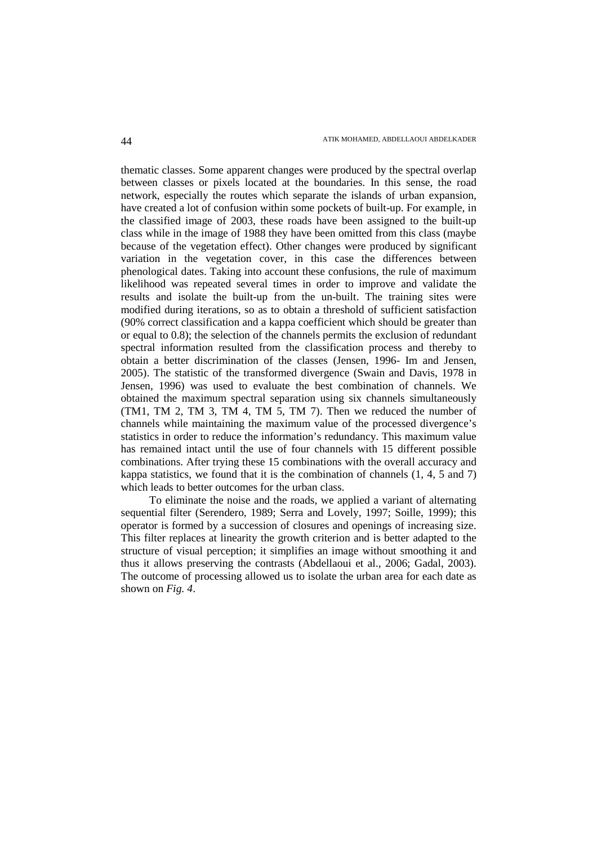thematic classes. Some apparent changes were produced by the spectral overlap between classes or pixels located at the boundaries. In this sense, the road network, especially the routes which separate the islands of urban expansion, have created a lot of confusion within some pockets of built-up. For example, in the classified image of 2003, these roads have been assigned to the built-up class while in the image of 1988 they have been omitted from this class (maybe because of the vegetation effect). Other changes were produced by significant variation in the vegetation cover, in this case the differences between phenological dates. Taking into account these confusions, the rule of maximum likelihood was repeated several times in order to improve and validate the results and isolate the built-up from the un-built. The training sites were modified during iterations, so as to obtain a threshold of sufficient satisfaction (90% correct classification and a kappa coefficient which should be greater than or equal to 0.8); the selection of the channels permits the exclusion of redundant spectral information resulted from the classification process and thereby to obtain a better discrimination of the classes (Jensen, 1996- Im and Jensen, 2005). The statistic of the transformed divergence (Swain and Davis, 1978 in Jensen, 1996) was used to evaluate the best combination of channels. We obtained the maximum spectral separation using six channels simultaneously (TM1, TM 2, TM 3, TM 4, TM 5, TM 7). Then we reduced the number of channels while maintaining the maximum value of the processed divergence's statistics in order to reduce the information's redundancy. This maximum value has remained intact until the use of four channels with 15 different possible combinations. After trying these 15 combinations with the overall accuracy and kappa statistics, we found that it is the combination of channels (1, 4, 5 and 7) which leads to better outcomes for the urban class.

To eliminate the noise and the roads, we applied a variant of alternating sequential filter (Serendero, 1989; Serra and Lovely, 1997; Soille, 1999); this operator is formed by a succession of closures and openings of increasing size. This filter replaces at linearity the growth criterion and is better adapted to the structure of visual perception; it simplifies an image without smoothing it and thus it allows preserving the contrasts (Abdellaoui et al., 2006; Gadal, 2003). The outcome of processing allowed us to isolate the urban area for each date as shown on *Fig. 4*.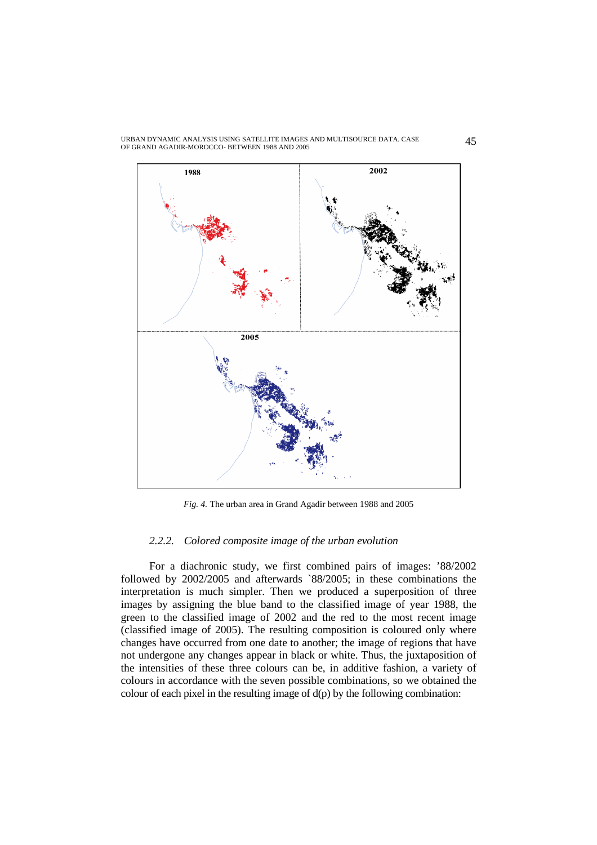

URBAN DYNAMIC ANALYSIS USING SATELLITE IMAGES AND MULTISOURCE DATA. CASE URBAN DYNAMIC ANALYSIS USING SATELLITE IMAGES AND MULTISOURCE DATA. CASE  $45$  OF GRAND AGADIR-MOROCCO- BETWEEN 1988 AND 2005

*Fig. 4.* The urban area in Grand Agadir between 1988 and 2005

#### *2.2.2. Colored composite image of the urban evolution*

For a diachronic study, we first combined pairs of images: '88/2002 followed by 2002/2005 and afterwards `88/2005; in these combinations the interpretation is much simpler. Then we produced a superposition of three images by assigning the blue band to the classified image of year 1988, the green to the classified image of 2002 and the red to the most recent image (classified image of 2005). The resulting composition is coloured only where changes have occurred from one date to another; the image of regions that have not undergone any changes appear in black or white. Thus, the juxtaposition of the intensities of these three colours can be, in additive fashion, a variety of colours in accordance with the seven possible combinations, so we obtained the colour of each pixel in the resulting image of  $d(p)$  by the following combination: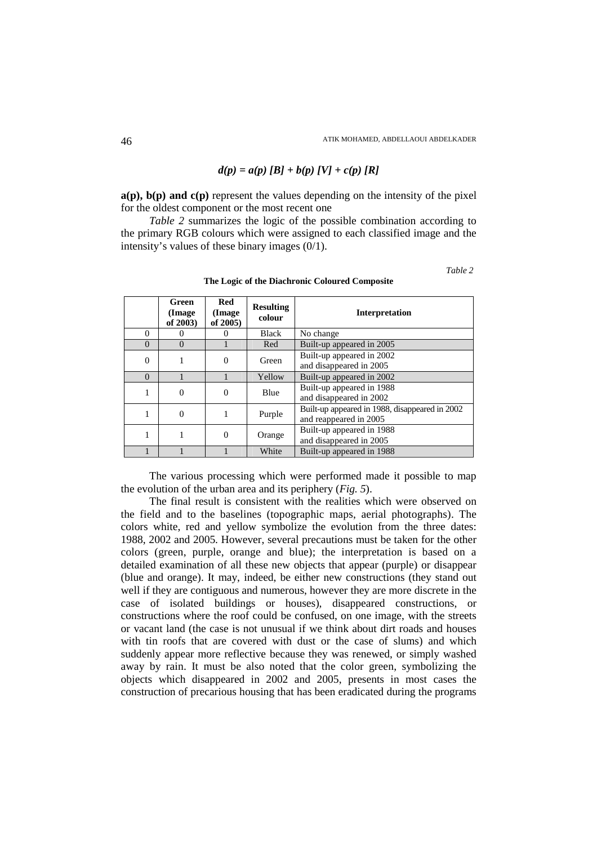## $d(p) = a(p) [B] + b(p) [V] + c(p) [R]$

**a(p), b(p) and c(p)** represent the values depending on the intensity of the pixel for the oldest component or the most recent one

*Table 2* summarizes the logic of the possible combination according to the primary RGB colours which were assigned to each classified image and the intensity's values of these binary images (0/1).

*Table 2*

|          | Green<br>(Image)<br>of 2003) | Red<br>(Image<br>of 2005) | <b>Resulting</b><br>colour | <b>Interpretation</b>                                                    |
|----------|------------------------------|---------------------------|----------------------------|--------------------------------------------------------------------------|
| $\Omega$ |                              |                           | Black                      | No change                                                                |
| $\Omega$ | $\Omega$                     |                           | Red                        | Built-up appeared in 2005                                                |
| $\Omega$ |                              | $\theta$                  | Green                      | Built-up appeared in 2002<br>and disappeared in 2005                     |
| $\Omega$ |                              |                           | Yellow                     | Built-up appeared in 2002                                                |
| 1        | $\theta$                     | 0                         | Blue                       | Built-up appeared in 1988<br>and disappeared in 2002                     |
|          | $\theta$                     |                           | Purple                     | Built-up appeared in 1988, disappeared in 2002<br>and reappeared in 2005 |
|          |                              | 0                         | Orange                     | Built-up appeared in 1988<br>and disappeared in 2005                     |
|          |                              |                           | White                      | Built-up appeared in 1988                                                |

**The Logic of the Diachronic Coloured Composite** 

The various processing which were performed made it possible to map the evolution of the urban area and its periphery (*Fig. 5*).

The final result is consistent with the realities which were observed on the field and to the baselines (topographic maps, aerial photographs). The colors white, red and yellow symbolize the evolution from the three dates: 1988, 2002 and 2005. However, several precautions must be taken for the other colors (green, purple, orange and blue); the interpretation is based on a detailed examination of all these new objects that appear (purple) or disappear (blue and orange). It may, indeed, be either new constructions (they stand out well if they are contiguous and numerous, however they are more discrete in the case of isolated buildings or houses), disappeared constructions, or constructions where the roof could be confused, on one image, with the streets or vacant land (the case is not unusual if we think about dirt roads and houses with tin roofs that are covered with dust or the case of slums) and which suddenly appear more reflective because they was renewed, or simply washed away by rain. It must be also noted that the color green, symbolizing the objects which disappeared in 2002 and 2005, presents in most cases the construction of precarious housing that has been eradicated during the programs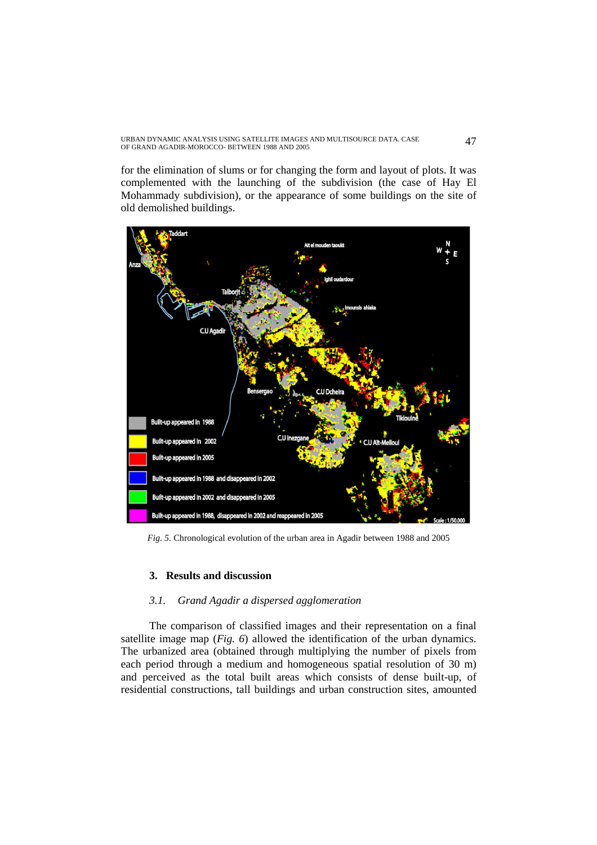URBAN DYNAMIC ANALYSIS USING SATELLITE IMAGES AND MULTISOURCE DATA. CASE 47<br>OF GRAND AGADIR-MOROCCO- BETWEEN 1988 AND 2005

for the elimination of slums or for changing the form and layout of plots. It was complemented with the launching of the subdivision (the case of Hay El Mohammady subdivision), or the appearance of some buildings on the site of old demolished buildings.



*Fig. 5.* Chronological evolution of the urban area in Agadir between 1988 and 2005

## **3. Results and discussion**

## *3.1. Grand Agadir a dispersed agglomeration*

The comparison of classified images and their representation on a final satellite image map (*Fig. 6*) allowed the identification of the urban dynamics. The urbanized area (obtained through multiplying the number of pixels from each period through a medium and homogeneous spatial resolution of 30 m) and perceived as the total built areas which consists of dense built-up, of residential constructions, tall buildings and urban construction sites, amounted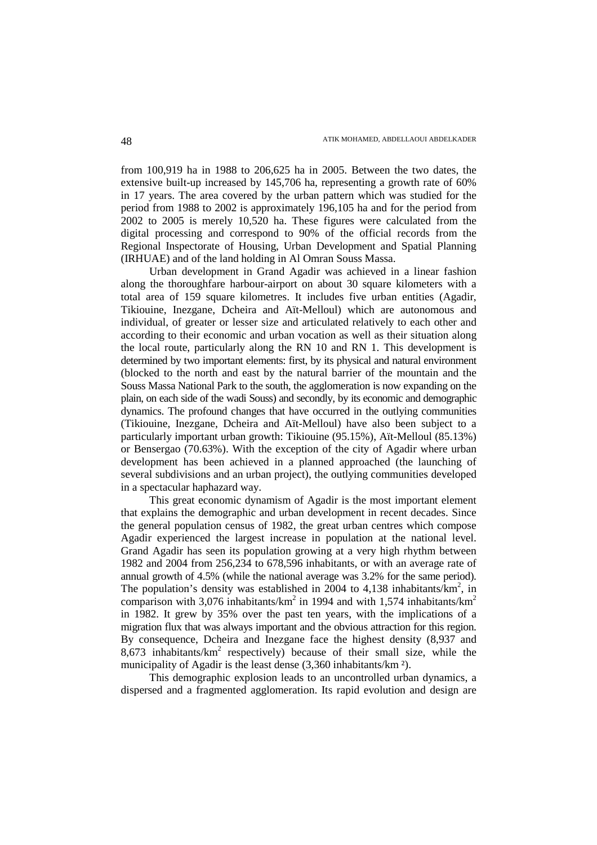from 100,919 ha in 1988 to 206,625 ha in 2005. Between the two dates, the extensive built-up increased by 145,706 ha, representing a growth rate of 60% in 17 years. The area covered by the urban pattern which was studied for the period from 1988 to 2002 is approximately 196,105 ha and for the period from 2002 to 2005 is merely 10,520 ha. These figures were calculated from the digital processing and correspond to 90% of the official records from the Regional Inspectorate of Housing, Urban Development and Spatial Planning (IRHUAE) and of the land holding in Al Omran Souss Massa.

Urban development in Grand Agadir was achieved in a linear fashion along the thoroughfare harbour-airport on about 30 square kilometers with a total area of 159 square kilometres. It includes five urban entities (Agadir, Tikiouine, Inezgane, Dcheira and Aït-Melloul) which are autonomous and individual, of greater or lesser size and articulated relatively to each other and according to their economic and urban vocation as well as their situation along the local route, particularly along the RN 10 and RN 1. This development is determined by two important elements: first, by its physical and natural environment (blocked to the north and east by the natural barrier of the mountain and the Souss Massa National Park to the south, the agglomeration is now expanding on the plain, on each side of the wadi Souss) and secondly, by its economic and demographic dynamics. The profound changes that have occurred in the outlying communities (Tikiouine, Inezgane, Dcheira and Aït-Melloul) have also been subject to a particularly important urban growth: Tikiouine (95.15%), Aït-Melloul (85.13%) or Bensergao (70.63%). With the exception of the city of Agadir where urban development has been achieved in a planned approached (the launching of several subdivisions and an urban project), the outlying communities developed in a spectacular haphazard way.

This great economic dynamism of Agadir is the most important element that explains the demographic and urban development in recent decades. Since the general population census of 1982, the great urban centres which compose Agadir experienced the largest increase in population at the national level. Grand Agadir has seen its population growing at a very high rhythm between 1982 and 2004 from 256,234 to 678,596 inhabitants, or with an average rate of annual growth of 4.5% (while the national average was 3.2% for the same period). The population's density was established in 2004 to 4,138 inhabitants/ $km^2$ , in comparison with 3,076 inhabitants/km<sup>2</sup> in 1994 and with 1,574 inhabitants/km<sup>2</sup> in 1982. It grew by 35% over the past ten years, with the implications of a migration flux that was always important and the obvious attraction for this region. By consequence, Dcheira and Inezgane face the highest density (8,937 and  $8,673$  inhabitants/ $km^2$  respectively) because of their small size, while the municipality of Agadir is the least dense (3,360 inhabitants/km ²).

This demographic explosion leads to an uncontrolled urban dynamics, a dispersed and a fragmented agglomeration. Its rapid evolution and design are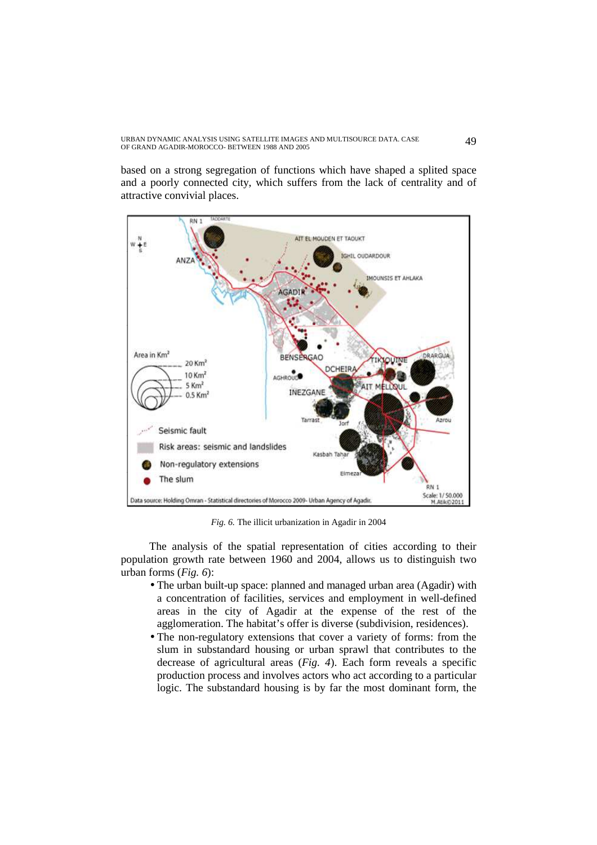URBAN DYNAMIC ANALYSIS USING SATELLITE IMAGES AND MULTISOURCE DATA. CASE 49<br>OF GRAND AGADIR-MOROCCO- BETWEEN 1988 AND 2005

based on a strong segregation of functions which have shaped a splited space and a poorly connected city, which suffers from the lack of centrality and of attractive convivial places.



*Fig. 6.* The illicit urbanization in Agadir in 2004

The analysis of the spatial representation of cities according to their population growth rate between 1960 and 2004, allows us to distinguish two urban forms (*Fig. 6*):

- The urban built-up space: planned and managed urban area (Agadir) with a concentration of facilities, services and employment in well-defined areas in the city of Agadir at the expense of the rest of the agglomeration. The habitat's offer is diverse (subdivision, residences).
- The non-regulatory extensions that cover a variety of forms: from the slum in substandard housing or urban sprawl that contributes to the decrease of agricultural areas (*Fig. 4*). Each form reveals a specific production process and involves actors who act according to a particular logic. The substandard housing is by far the most dominant form, the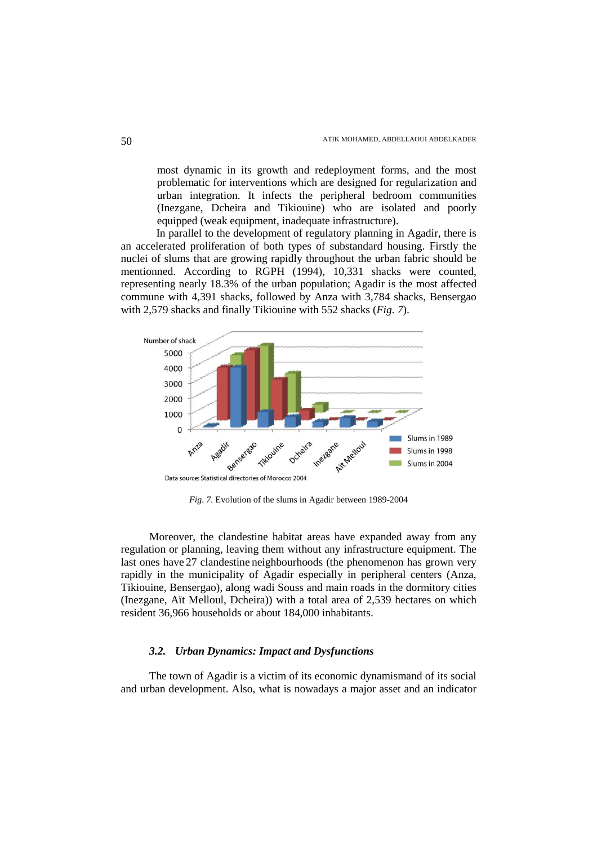most dynamic in its growth and redeployment forms, and the most problematic for interventions which are designed for regularization and urban integration. It infects the peripheral bedroom communities (Inezgane, Dcheira and Tikiouine) who are isolated and poorly equipped (weak equipment, inadequate infrastructure).

 In parallel to the development of regulatory planning in Agadir, there is an accelerated proliferation of both types of substandard housing. Firstly the nuclei of slums that are growing rapidly throughout the urban fabric should be mentionned. According to RGPH (1994), 10,331 shacks were counted, representing nearly 18.3% of the urban population; Agadir is the most affected commune with 4,391 shacks, followed by Anza with 3,784 shacks, Bensergao with 2,579 shacks and finally Tikiouine with 552 shacks (*Fig. 7*).



*Fig. 7.* Evolution of the slums in Agadir between 1989-2004

Moreover, the clandestine habitat areas have expanded away from any regulation or planning, leaving them without any infrastructure equipment. The last ones have 27 clandestine neighbourhoods (the phenomenon has grown very rapidly in the municipality of Agadir especially in peripheral centers (Anza, Tikiouine, Bensergao), along wadi Souss and main roads in the dormitory cities (Inezgane, Aït Melloul, Dcheira)) with a total area of 2,539 hectares on which resident 36,966 households or about 184,000 inhabitants.

### *3.2. Urban Dynamics: Impact and Dysfunctions*

The town of Agadir is a victim of its economic dynamismand of its social and urban development. Also, what is nowadays a major asset and an indicator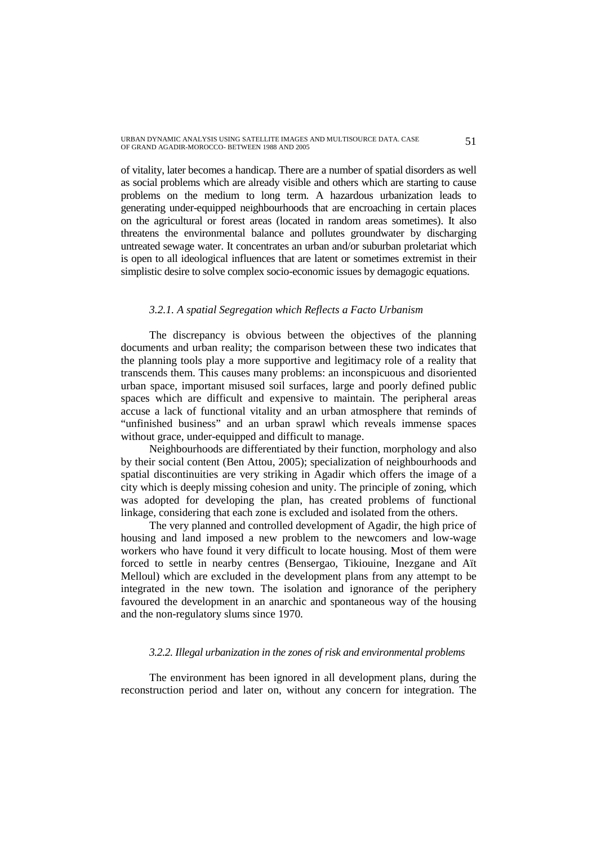URBAN DYNAMIC ANALYSIS USING SATELLITE IMAGES AND MULTISOURCE DATA. CASE 51<br>OF GRAND AGADIR-MOROCCO- BETWEEN 1988 AND 2005

of vitality, later becomes a handicap. There are a number of spatial disorders as well as social problems which are already visible and others which are starting to cause problems on the medium to long term. A hazardous urbanization leads to generating under-equipped neighbourhoods that are encroaching in certain places on the agricultural or forest areas (located in random areas sometimes). It also threatens the environmental balance and pollutes groundwater by discharging untreated sewage water. It concentrates an urban and/or suburban proletariat which is open to all ideological influences that are latent or sometimes extremist in their simplistic desire to solve complex socio-economic issues by demagogic equations.

### *3.2.1. A spatial Segregation which Reflects a Facto Urbanism*

The discrepancy is obvious between the objectives of the planning documents and urban reality; the comparison between these two indicates that the planning tools play a more supportive and legitimacy role of a reality that transcends them. This causes many problems: an inconspicuous and disoriented urban space, important misused soil surfaces, large and poorly defined public spaces which are difficult and expensive to maintain. The peripheral areas accuse a lack of functional vitality and an urban atmosphere that reminds of "unfinished business" and an urban sprawl which reveals immense spaces without grace, under-equipped and difficult to manage.

Neighbourhoods are differentiated by their function, morphology and also by their social content (Ben Attou, 2005); specialization of neighbourhoods and spatial discontinuities are very striking in Agadir which offers the image of a city which is deeply missing cohesion and unity. The principle of zoning, which was adopted for developing the plan, has created problems of functional linkage, considering that each zone is excluded and isolated from the others.

The very planned and controlled development of Agadir, the high price of housing and land imposed a new problem to the newcomers and low-wage workers who have found it very difficult to locate housing. Most of them were forced to settle in nearby centres (Bensergao, Tikiouine, Inezgane and Aït Melloul) which are excluded in the development plans from any attempt to be integrated in the new town. The isolation and ignorance of the periphery favoured the development in an anarchic and spontaneous way of the housing and the non-regulatory slums since 1970.

## *3.2.2. Illegal urbanization in the zones of risk and environmental problems*

The environment has been ignored in all development plans, during the reconstruction period and later on, without any concern for integration. The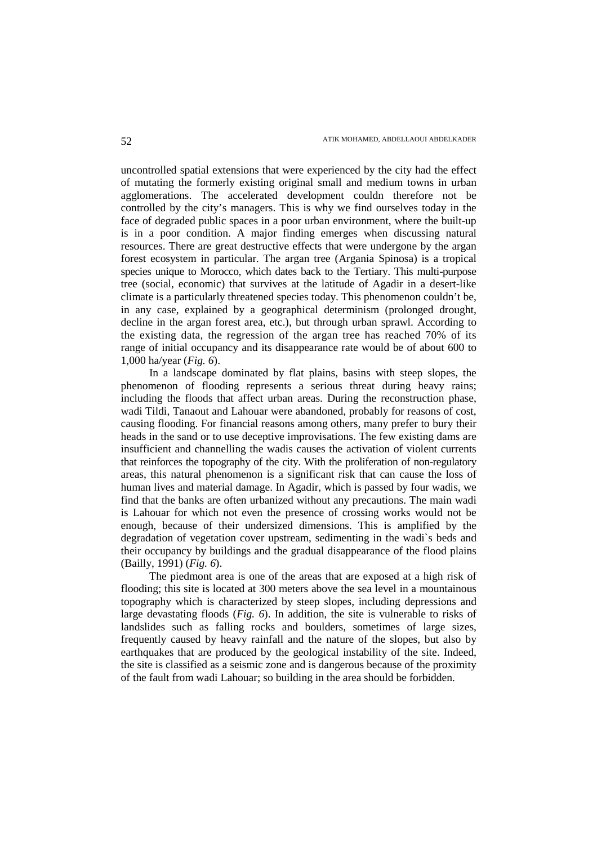uncontrolled spatial extensions that were experienced by the city had the effect of mutating the formerly existing original small and medium towns in urban agglomerations. The accelerated development couldn therefore not be controlled by the city's managers. This is why we find ourselves today in the face of degraded public spaces in a poor urban environment, where the built-up is in a poor condition. A major finding emerges when discussing natural resources. There are great destructive effects that were undergone by the argan forest ecosystem in particular. The argan tree (Argania Spinosa) is a tropical species unique to Morocco, which dates back to the Tertiary. This multi-purpose tree (social, economic) that survives at the latitude of Agadir in a desert-like climate is a particularly threatened species today. This phenomenon couldn't be, in any case, explained by a geographical determinism (prolonged drought, decline in the argan forest area, etc.), but through urban sprawl. According to the existing data, the regression of the argan tree has reached 70% of its range of initial occupancy and its disappearance rate would be of about 600 to 1,000 ha/year (*Fig. 6*).

In a landscape dominated by flat plains, basins with steep slopes, the phenomenon of flooding represents a serious threat during heavy rains; including the floods that affect urban areas. During the reconstruction phase, wadi Tildi, Tanaout and Lahouar were abandoned, probably for reasons of cost, causing flooding. For financial reasons among others, many prefer to bury their heads in the sand or to use deceptive improvisations. The few existing dams are insufficient and channelling the wadis causes the activation of violent currents that reinforces the topography of the city. With the proliferation of non-regulatory areas, this natural phenomenon is a significant risk that can cause the loss of human lives and material damage. In Agadir, which is passed by four wadis, we find that the banks are often urbanized without any precautions. The main wadi is Lahouar for which not even the presence of crossing works would not be enough, because of their undersized dimensions. This is amplified by the degradation of vegetation cover upstream, sedimenting in the wadi`s beds and their occupancy by buildings and the gradual disappearance of the flood plains (Bailly, 1991) (*Fig. 6*).

The piedmont area is one of the areas that are exposed at a high risk of flooding; this site is located at 300 meters above the sea level in a mountainous topography which is characterized by steep slopes, including depressions and large devastating floods (*Fig. 6*). In addition, the site is vulnerable to risks of landslides such as falling rocks and boulders, sometimes of large sizes, frequently caused by heavy rainfall and the nature of the slopes, but also by earthquakes that are produced by the geological instability of the site. Indeed, the site is classified as a seismic zone and is dangerous because of the proximity of the fault from wadi Lahouar; so building in the area should be forbidden.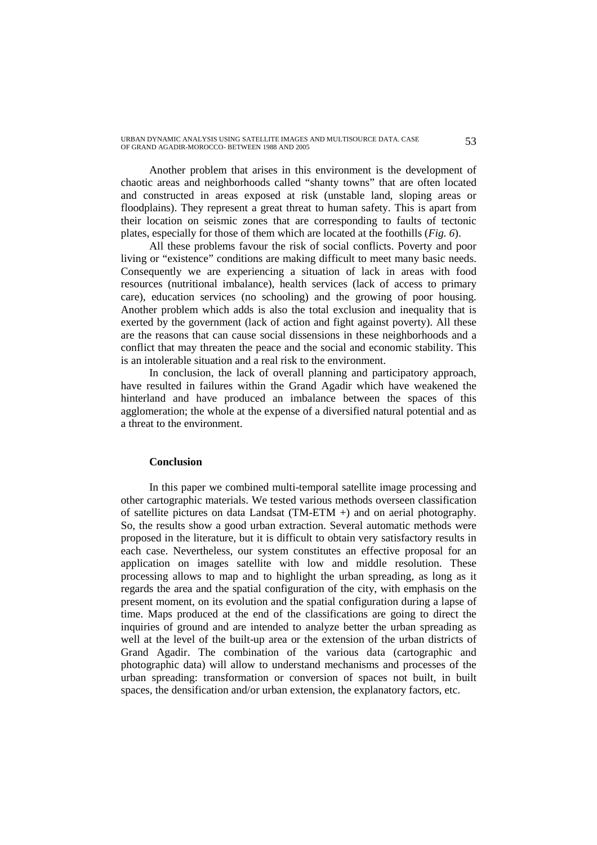URBAN DYNAMIC ANALYSIS USING SATELLITE IMAGES AND MULTISOURCE DATA. CASE 53<br>OF GRAND AGADIR-MOROCCO- BETWEEN 1988 AND 2005

Another problem that arises in this environment is the development of chaotic areas and neighborhoods called "shanty towns" that are often located and constructed in areas exposed at risk (unstable land, sloping areas or floodplains). They represent a great threat to human safety. This is apart from their location on seismic zones that are corresponding to faults of tectonic plates, especially for those of them which are located at the foothills (*Fig. 6*).

All these problems favour the risk of social conflicts. Poverty and poor living or "existence" conditions are making difficult to meet many basic needs. Consequently we are experiencing a situation of lack in areas with food resources (nutritional imbalance), health services (lack of access to primary care), education services (no schooling) and the growing of poor housing. Another problem which adds is also the total exclusion and inequality that is exerted by the government (lack of action and fight against poverty). All these are the reasons that can cause social dissensions in these neighborhoods and a conflict that may threaten the peace and the social and economic stability. This is an intolerable situation and a real risk to the environment.

In conclusion, the lack of overall planning and participatory approach, have resulted in failures within the Grand Agadir which have weakened the hinterland and have produced an imbalance between the spaces of this agglomeration; the whole at the expense of a diversified natural potential and as a threat to the environment.

### **Conclusion**

In this paper we combined multi-temporal satellite image processing and other cartographic materials. We tested various methods overseen classification of satellite pictures on data Landsat (TM-ETM +) and on aerial photography. So, the results show a good urban extraction. Several automatic methods were proposed in the literature, but it is difficult to obtain very satisfactory results in each case. Nevertheless, our system constitutes an effective proposal for an application on images satellite with low and middle resolution. These processing allows to map and to highlight the urban spreading, as long as it regards the area and the spatial configuration of the city, with emphasis on the present moment, on its evolution and the spatial configuration during a lapse of time. Maps produced at the end of the classifications are going to direct the inquiries of ground and are intended to analyze better the urban spreading as well at the level of the built-up area or the extension of the urban districts of Grand Agadir. The combination of the various data (cartographic and photographic data) will allow to understand mechanisms and processes of the urban spreading: transformation or conversion of spaces not built, in built spaces, the densification and/or urban extension, the explanatory factors, etc.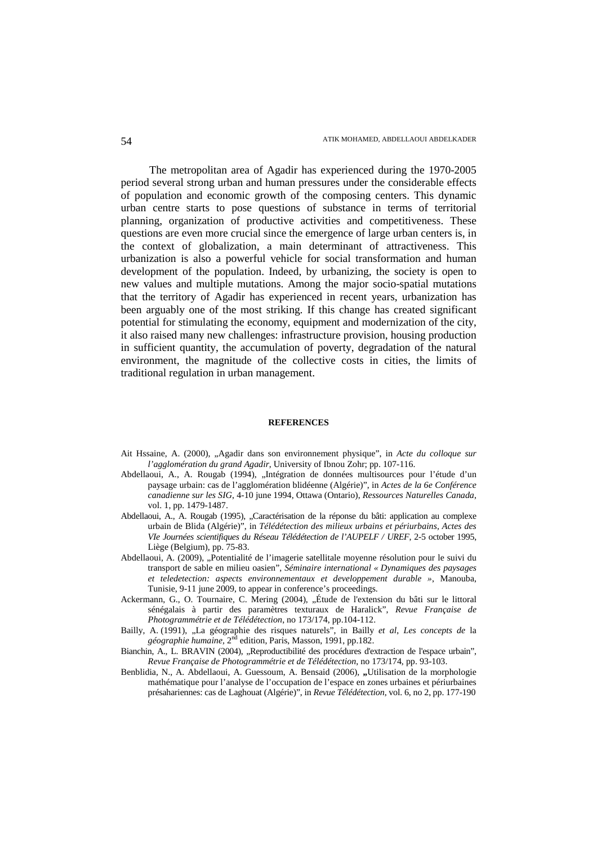The metropolitan area of Agadir has experienced during the 1970-2005 period several strong urban and human pressures under the considerable effects of population and economic growth of the composing centers. This dynamic urban centre starts to pose questions of substance in terms of territorial planning, organization of productive activities and competitiveness. These questions are even more crucial since the emergence of large urban centers is, in the context of globalization, a main determinant of attractiveness. This urbanization is also a powerful vehicle for social transformation and human development of the population. Indeed, by urbanizing, the society is open to new values and multiple mutations. Among the major socio-spatial mutations that the territory of Agadir has experienced in recent years, urbanization has been arguably one of the most striking. If this change has created significant potential for stimulating the economy, equipment and modernization of the city, it also raised many new challenges: infrastructure provision, housing production in sufficient quantity, the accumulation of poverty, degradation of the natural environment, the magnitude of the collective costs in cities, the limits of traditional regulation in urban management.

#### **REFERENCES**

- Ait Hssaine, A. (2000), "Agadir dans son environnement physique", in *Acte du colloque sur l'agglomération du grand Agadir*, University of Ibnou Zohr; pp. 107-116.
- Abdellaoui, A., A. Rougab (1994), "Intégration de données multisources pour l'étude d'un paysage urbain: cas de l'agglomération blidéenne (Algérie)", in *Actes de la 6e Conférence canadienne sur les SIG*, 4-10 june 1994, Ottawa (Ontario), *Ressources Naturelles Canada*, vol. 1, pp. 1479-1487.
- Abdellaoui, A., A. Rougab (1995), "Caractérisation de la réponse du bâti: application au complexe urbain de Blida (Algérie)", in *Télédétection des milieux urbains et périurbains, Actes des VIe Journées scientifiques du Réseau Télédétection de l'AUPELF / UREF*, 2-5 october 1995, Liège (Belgium), pp. 75-83.
- Abdellaoui, A. (2009), "Potentialité de l'imagerie satellitale moyenne résolution pour le suivi du transport de sable en milieu oasien", *Séminaire international « Dynamiques des paysages et teledetection: aspects environnementaux et developpement durable »*, Manouba, Tunisie, 9-11 june 2009, to appear in conference's proceedings.
- Ackermann, G., O. Tournaire, C. Mering (2004), "Étude de l'extension du bâti sur le littoral sénégalais à partir des paramètres texturaux de Haralick", *Revue Française de Photogrammétrie et de Télédétection*, no 173/174, pp.104-112.
- Bailly, A. (1991), "La géographie des risques naturels", in Bailly *et al*, *Les concepts de* la *géographie humaine,* 2nd edition, Paris, Masson, 1991, pp.182.
- Bianchin, A., L. BRAVIN (2004), "Reproductibilité des procédures d'extraction de l'espace urbain", *Revue Française de Photogrammétrie et de Télédétection*, no 173/174, pp. 93-103.
- Benblidia, N., A. Abdellaoui, A. Guessoum, A. Bensaid (2006), "Utilisation de la morphologie mathématique pour l'analyse de l'occupation de l'espace en zones urbaines et périurbaines présahariennes: cas de Laghouat (Algérie)", in *Revue Télédétection*, vol. 6, no 2, pp. 177-190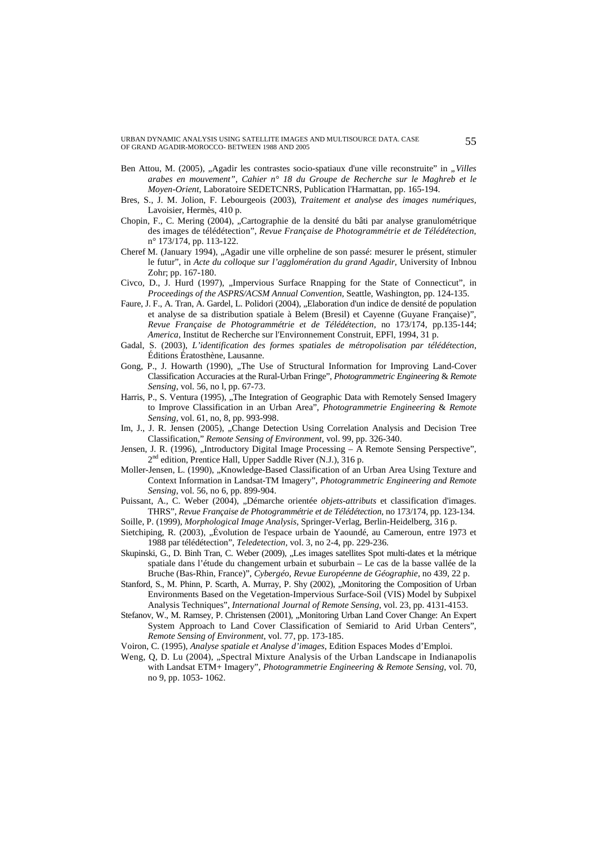URBAN DYNAMIC ANALYSIS USING SATELLITE IMAGES AND MULTISOURCE DATA. CASE OF GRAND AGADIR-MOROCCO- BETWEEN 1988 AND 2005 55

- Ben Attou, M. (2005), "Agadir les contrastes socio-spatiaux d'une ville reconstruite" in "Villes *arabes en mouvement", Cahier n° 18 du Groupe de Recherche sur le Maghreb et le Moyen-Orient*, Laboratoire SEDETCNRS, Publication l'Harmattan, pp. 165-194.
- Bres, S., J. M. Jolion, F. Lebourgeois (2003), *Traitement et analyse des images numériques*, Lavoisier, Hermès, 410 p.
- Chopin, F., C. Mering (2004), "Cartographie de la densité du bâti par analyse granulométrique des images de télédétection", *Revue Française de Photogrammétrie et de Télédétection*, n° 173/174, pp. 113-122.
- Cheref M. (January 1994), "Agadir une ville orpheline de son passé: mesurer le présent, stimuler le futur", in *Acte du colloque sur l'agglomération du grand Agadir*, University of Inbnou Zohr; pp. 167-180.
- Civco, D., J. Hurd (1997), "Impervious Surface Rnapping for the State of Connecticut", in *Proceedings of the ASPRS/ACSM Annual Convention,* Seattle, Washington, pp. 124-135.
- Faure, J. F., A. Tran, A. Gardel, L. Polidori (2004), "Elaboration d'un indice de densité de population et analyse de sa distribution spatiale à Belem (Bresil) et Cayenne (Guyane Française)", *Revue Française de Photogrammétrie et de Télédétection*, no 173/174, pp.135-144; *America*, Institut de Recherche sur l'Environnement Construit, EPFl, 1994, 31 p.
- Gadal, S. (2003), *L'identification des formes spatiales de métropolisation par télédétection*, Éditions Ératosthène, Lausanne.
- Gong, P., J. Howarth (1990), "The Use of Structural Information for Improving Land-Cover Classification Accuracies at the Rural-Urban Fringe", *Photogrammetric Engineering* & *Remote Sensing*, vol. 56, no l, pp. 67-73.
- Harris, P., S. Ventura (1995), "The Integration of Geographic Data with Remotely Sensed Imagery to Improve Classification in an Urban Area", *Photogrammetrie Engineering* & *Remote Sensing*, vol. 61, no, 8, pp. 993-998.
- Im, J., J. R. Jensen (2005), "Change Detection Using Correlation Analysis and Decision Tree Classification," *Remote Sensing of Environment*, vol. 99, pp. 326-340.
- Jensen, J. R. (1996), "Introductory Digital Image Processing A Remote Sensing Perspective", 2<sup>nd</sup> edition, Prentice Hall, Upper Saddle River (N.J.), 316 p.
- Moller-Jensen, L. (1990), "Knowledge-Based Classification of an Urban Area Using Texture and Context Information in Landsat-TM Imagery", *Photogrammetric Engineering and Remote Sensing*, vol. 56, no 6, pp. 899-904.
- Puissant, A., C. Weber (2004), "Démarche orientée *objets-attributs* et classification d'images. THRS", *Revue Française de Photogrammétrie et de Télédétection*, no 173/174, pp. 123-134.
- Soille, P. (1999), *Morphological Image Analysis*, Springer-Verlag, Berlin-Heidelberg, 316 p.
- Sietchiping, R. (2003), "Évolution de l'espace urbain de Yaoundé, au Cameroun, entre 1973 et 1988 par télédétection", *Teledetection*, vol. 3, no 2-4, pp. 229-236.
- Skupinski, G., D. Binh Tran, C. Weber (2009), "Les images satellites Spot multi-dates et la métrique spatiale dans l'étude du changement urbain et suburbain – Le cas de la basse vallée de la Bruche (Bas-Rhin, France)", *Cybergéo, Revue Européenne de Géographie*, no 439, 22 p.
- Stanford, S., M. Phinn, P. Scarth, A. Murray, P. Shy (2002), "Monitoring the Composition of Urban Environments Based on the Vegetation-Impervious Surface-Soil (VIS) Model by Subpixel Analysis Techniques", *International Journal of Remote Sensing*, vol. 23, pp. 4131-4153.
- Stefanov, W., M. Ramsey, P. Christensen (2001), "Monitoring Urban Land Cover Change: An Expert System Approach to Land Cover Classification of Semiarid to Arid Urban Centers", *Remote Sensing of Environment*, vol. 77, pp. 173-185.
- Voiron, C. (1995), *Analyse spatiale et Analyse d'images*, Edition Espaces Modes d'Emploi.
- Weng, Q, D. Lu (2004), "Spectral Mixture Analysis of the Urban Landscape in Indianapolis with Landsat ETM+ Imagery", *Photogrammetrie Engineering & Remote Sensing*, vol. 70, no 9, pp. 1053- 1062.